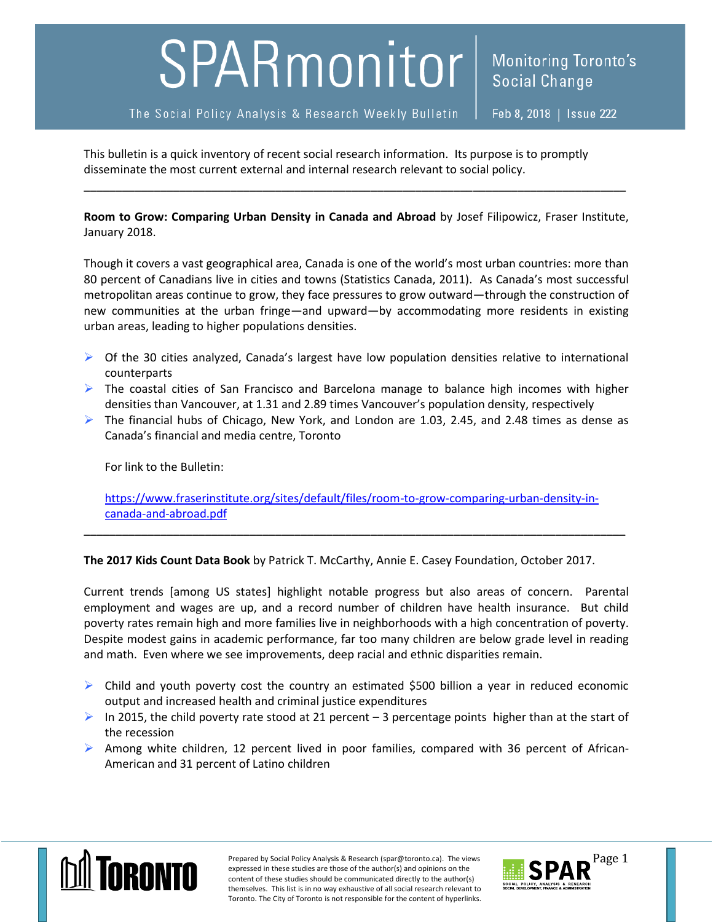## SPARmonitor

The Social Policy Analysis & Research Weekly Bulletin

This bulletin is a quick inventory of recent social research information. Its purpose is to promptly disseminate the most current external and internal research relevant to social policy.

**Room to Grow: Comparing Urban Density in Canada and Abroad** by Josef Filipowicz, Fraser Institute, January 2018.

\_\_\_\_\_\_\_\_\_\_\_\_\_\_\_\_\_\_\_\_\_\_\_\_\_\_\_\_\_\_\_\_\_\_\_\_\_\_\_\_\_\_\_\_\_\_\_\_\_\_\_\_\_\_\_\_\_\_\_\_\_\_\_\_\_\_\_\_\_\_\_\_\_\_\_\_\_\_\_\_\_\_\_\_\_

Though it covers a vast geographical area, Canada is one of the world's most urban countries: more than 80 percent of Canadians live in cities and towns (Statistics Canada, 2011). As Canada's most successful metropolitan areas continue to grow, they face pressures to grow outward—through the construction of new communities at the urban fringe—and upward—by accommodating more residents in existing urban areas, leading to higher populations densities.

- $\triangleright$  Of the 30 cities analyzed, Canada's largest have low population densities relative to international counterparts
- $\triangleright$  The coastal cities of San Francisco and Barcelona manage to balance high incomes with higher densities than Vancouver, at 1.31 and 2.89 times Vancouver's population density, respectively
- $\triangleright$  The financial hubs of Chicago, New York, and London are 1.03, 2.45, and 2.48 times as dense as Canada's financial and media centre, Toronto

For link to the Bulletin:

[https://www.fraserinstitute.org/sites/default/files/room-to-grow-comparing-urban-density-in](https://www.fraserinstitute.org/sites/default/files/room-to-grow-comparing-urban-density-in-canada-and-abroad.pdf)[canada-and-abroad.pdf](https://www.fraserinstitute.org/sites/default/files/room-to-grow-comparing-urban-density-in-canada-and-abroad.pdf)

**\_\_\_\_\_\_\_\_\_\_\_\_\_\_\_\_\_\_\_\_\_\_\_\_\_\_\_\_\_\_\_\_\_\_\_\_\_\_\_\_\_\_\_\_\_\_\_\_\_\_\_\_\_\_\_\_\_\_\_\_\_\_\_\_\_\_\_\_\_\_\_\_\_\_\_\_\_\_\_\_\_\_\_\_\_**

**The 2017 Kids Count Data Book** by Patrick T. McCarthy, Annie E. Casey Foundation, October 2017.

Current trends [among US states] highlight notable progress but also areas of concern. Parental employment and wages are up, and a record number of children have health insurance. But child poverty rates remain high and more families live in neighborhoods with a high concentration of poverty. Despite modest gains in academic performance, far too many children are below grade level in reading and math. Even where we see improvements, deep racial and ethnic disparities remain.

- $\triangleright$  Child and youth poverty cost the country an estimated \$500 billion a year in reduced economic output and increased health and criminal justice expenditures
- In 2015, the child poverty rate stood at 21 percent 3 percentage points higher than at the start of the recession
- $\triangleright$  Among white children, 12 percent lived in poor families, compared with 36 percent of African-American and 31 percent of Latino children



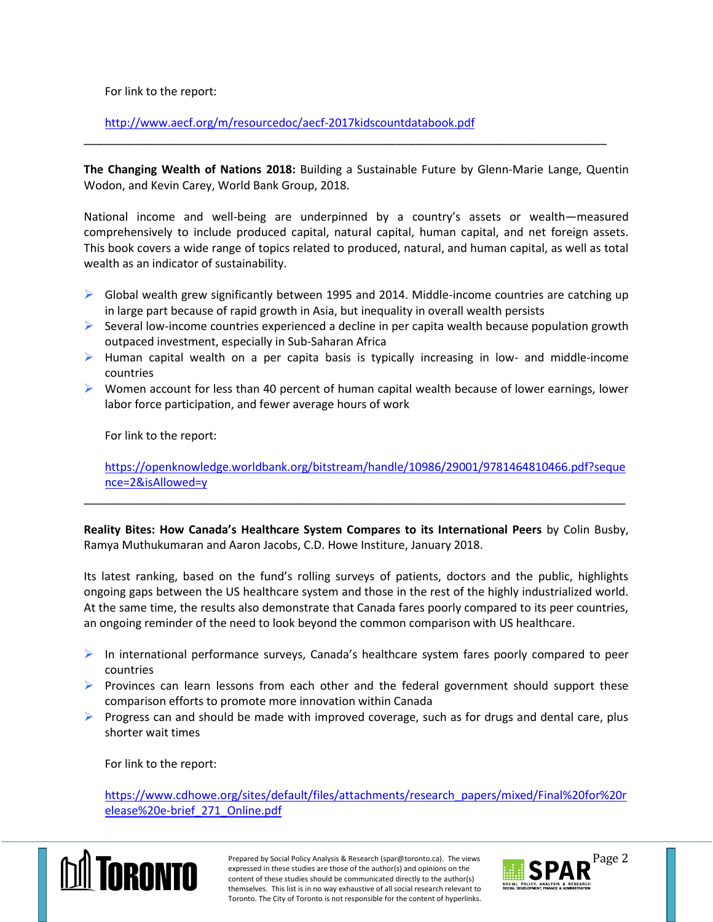For link to the report:

<http://www.aecf.org/m/resourcedoc/aecf-2017kidscountdatabook.pdf>

**The Changing Wealth of Nations 2018:** Building a Sustainable Future by Glenn-Marie Lange, Quentin Wodon, and Kevin Carey, World Bank Group, 2018.

\_\_\_\_\_\_\_\_\_\_\_\_\_\_\_\_\_\_\_\_\_\_\_\_\_\_\_\_\_\_\_\_\_\_\_\_\_\_\_\_\_\_\_\_\_\_\_\_\_\_\_\_\_\_\_\_\_\_\_\_\_\_\_\_\_\_\_\_\_\_\_\_\_\_\_\_\_\_\_\_\_\_

National income and well-being are underpinned by a country's assets or wealth—measured comprehensively to include produced capital, natural capital, human capital, and net foreign assets. This book covers a wide range of topics related to produced, natural, and human capital, as well as total wealth as an indicator of sustainability.

- $\triangleright$  Global wealth grew significantly between 1995 and 2014. Middle-income countries are catching up in large part because of rapid growth in Asia, but inequality in overall wealth persists
- $\triangleright$  Several low-income countries experienced a decline in per capita wealth because population growth outpaced investment, especially in Sub-Saharan Africa
- $\triangleright$  Human capital wealth on a per capita basis is typically increasing in low- and middle-income countries
- $\triangleright$  Women account for less than 40 percent of human capital wealth because of lower earnings, lower labor force participation, and fewer average hours of work

For link to the report:

[https://openknowledge.worldbank.org/bitstream/handle/10986/29001/9781464810466.pdf?seque](https://openknowledge.worldbank.org/bitstream/handle/10986/29001/9781464810466.pdf?sequence=2&isAllowed=y) [nce=2&isAllowed=y](https://openknowledge.worldbank.org/bitstream/handle/10986/29001/9781464810466.pdf?sequence=2&isAllowed=y)

**Reality Bites: How Canada's Healthcare System Compares to its International Peers** by Colin Busby, Ramya Muthukumaran and Aaron Jacobs, C.D. Howe Institure, January 2018.

\_\_\_\_\_\_\_\_\_\_\_\_\_\_\_\_\_\_\_\_\_\_\_\_\_\_\_\_\_\_\_\_\_\_\_\_\_\_\_\_\_\_\_\_\_\_\_\_\_\_\_\_\_\_\_\_\_\_\_\_\_\_\_\_\_\_\_\_\_\_\_\_\_\_\_\_\_\_\_\_\_\_\_\_\_

Its latest ranking, based on the fund's rolling surveys of patients, doctors and the public, highlights ongoing gaps between the US healthcare system and those in the rest of the highly industrialized world. At the same time, the results also demonstrate that Canada fares poorly compared to its peer countries, an ongoing reminder of the need to look beyond the common comparison with US healthcare.

- $\triangleright$  In international performance surveys, Canada's healthcare system fares poorly compared to peer countries
- $\triangleright$  Provinces can learn lessons from each other and the federal government should support these comparison efforts to promote more innovation within Canada
- $\triangleright$  Progress can and should be made with improved coverage, such as for drugs and dental care, plus shorter wait times

For link to the report:

[https://www.cdhowe.org/sites/default/files/attachments/research\\_papers/mixed/Final%20for%20r](https://www.cdhowe.org/sites/default/files/attachments/research_papers/mixed/Final%20for%20release%20e-brief_271_Online.pdf) [elease%20e-brief\\_271\\_Online.pdf](https://www.cdhowe.org/sites/default/files/attachments/research_papers/mixed/Final%20for%20release%20e-brief_271_Online.pdf)